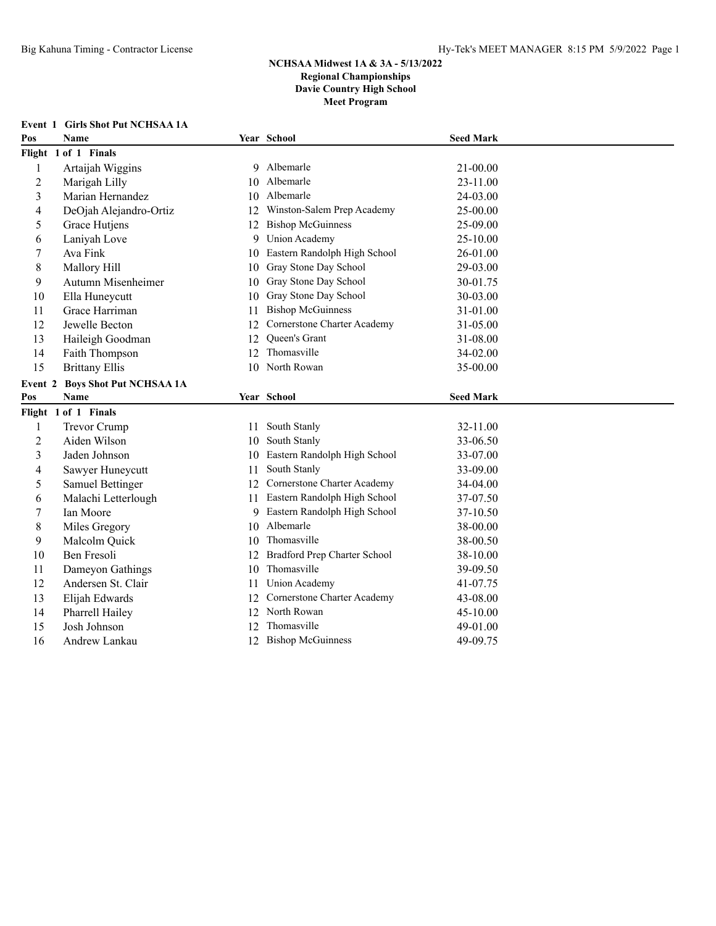|                | <b>Event 1 Girls Shot Put NCHSAA 1A</b> |    |                                |                  |  |
|----------------|-----------------------------------------|----|--------------------------------|------------------|--|
| Pos            | <b>Name</b>                             |    | Year School                    | <b>Seed Mark</b> |  |
|                | Flight 1 of 1 Finals                    |    |                                |                  |  |
| 1              | Artaijah Wiggins                        |    | 9 Albemarle                    | 21-00.00         |  |
| $\overline{2}$ | Marigah Lilly                           | 10 | Albemarle                      | 23-11.00         |  |
| 3              | Marian Hernandez                        | 10 | Albemarle                      | 24-03.00         |  |
| 4              | DeOjah Alejandro-Ortiz                  | 12 | Winston-Salem Prep Academy     | 25-00.00         |  |
| 5              | Grace Hutjens                           | 12 | <b>Bishop McGuinness</b>       | 25-09.00         |  |
| 6              | Laniyah Love                            | 9  | <b>Union Academy</b>           | 25-10.00         |  |
| 7              | Ava Fink                                | 10 | Eastern Randolph High School   | 26-01.00         |  |
| 8              | Mallory Hill                            | 10 | Gray Stone Day School          | 29-03.00         |  |
| 9              | Autumn Misenheimer                      | 10 | Gray Stone Day School          | 30-01.75         |  |
| 10             | Ella Huneycutt                          | 10 | Gray Stone Day School          | 30-03.00         |  |
| 11             | Grace Harriman                          | 11 | <b>Bishop McGuinness</b>       | 31-01.00         |  |
| 12             | Jewelle Becton                          | 12 | Cornerstone Charter Academy    | 31-05.00         |  |
| 13             | Haileigh Goodman                        | 12 | Queen's Grant                  | 31-08.00         |  |
| 14             | Faith Thompson                          | 12 | Thomasville                    | 34-02.00         |  |
| 15             | <b>Brittany Ellis</b>                   |    | 10 North Rowan                 | 35-00.00         |  |
|                | Event 2 Boys Shot Put NCHSAA 1A         |    |                                |                  |  |
|                |                                         |    |                                |                  |  |
| Pos            | <b>Name</b>                             |    | Year School                    | <b>Seed Mark</b> |  |
|                | Flight 1 of 1 Finals                    |    |                                |                  |  |
| 1              | Trevor Crump                            | 11 | South Stanly                   | 32-11.00         |  |
| $\overline{2}$ | Aiden Wilson                            | 10 | South Stanly                   | 33-06.50         |  |
| 3              | Jaden Johnson                           | 10 | Eastern Randolph High School   | 33-07.00         |  |
| 4              | Sawyer Huneycutt                        | 11 | South Stanly                   | 33-09.00         |  |
| 5              | Samuel Bettinger                        | 12 | Cornerstone Charter Academy    | 34-04.00         |  |
| 6              | Malachi Letterlough                     | 11 | Eastern Randolph High School   | 37-07.50         |  |
| 7              | Ian Moore                               |    | 9 Eastern Randolph High School | 37-10.50         |  |
| 8              | Miles Gregory                           | 10 | Albemarle                      | 38-00.00         |  |
| 9              | Malcolm Quick                           | 10 | Thomasville                    | 38-00.50         |  |
| 10             | Ben Fresoli                             | 12 | Bradford Prep Charter School   | 38-10.00         |  |
| 11             | Dameyon Gathings                        | 10 | Thomasville                    | 39-09.50         |  |
| 12             | Andersen St. Clair                      | 11 | <b>Union Academy</b>           | 41-07.75         |  |
| 13             | Elijah Edwards                          | 12 | Cornerstone Charter Academy    | 43-08.00         |  |
| 14             | Pharrell Hailey                         |    | 12 North Rowan                 | 45-10.00         |  |
| 15             | Josh Johnson                            | 12 | Thomasville                    | 49-01.00         |  |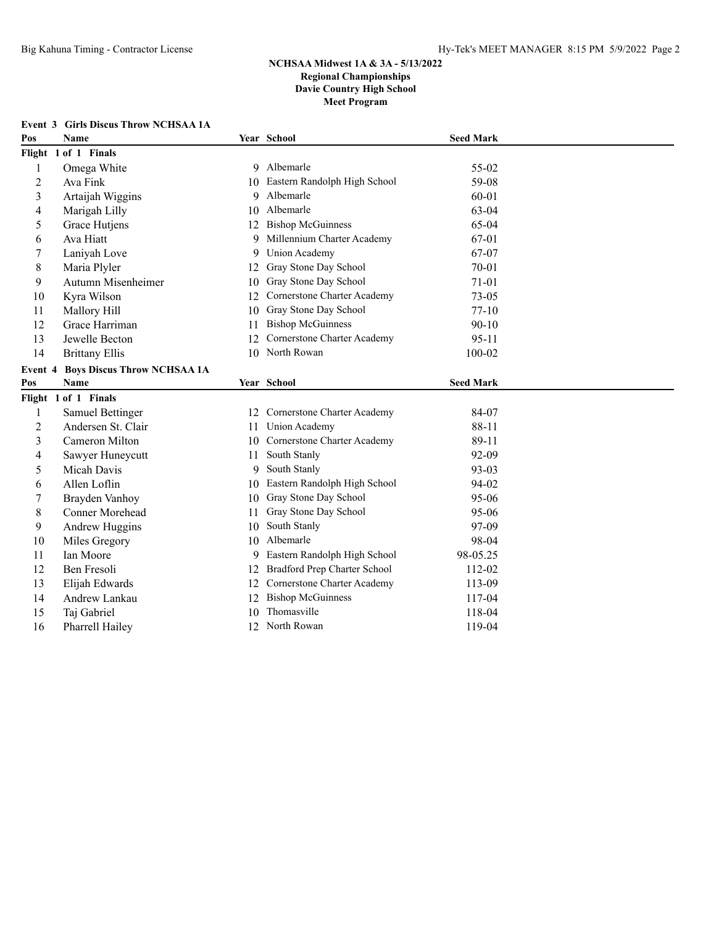# **Event 3 Girls Discus Throw NCHSAA 1A**

| Pos            | <b>Name</b>                        |    | Year School                  | <b>Seed Mark</b> |  |
|----------------|------------------------------------|----|------------------------------|------------------|--|
|                | Flight 1 of 1 Finals               |    |                              |                  |  |
| 1              | Omega White                        |    | 9 Albemarle                  | 55-02            |  |
| 2              | Ava Fink                           | 10 | Eastern Randolph High School | 59-08            |  |
| 3              | Artaijah Wiggins                   | 9  | Albemarle                    | 60-01            |  |
| 4              | Marigah Lilly                      | 10 | Albemarle                    | 63-04            |  |
| 5              | Grace Hutjens                      | 12 | <b>Bishop McGuinness</b>     | 65-04            |  |
| 6              | Ava Hiatt                          | 9  | Millennium Charter Academy   | 67-01            |  |
| 7              | Laniyah Love                       | 9  | Union Academy                | 67-07            |  |
| $\,$ 8 $\,$    | Maria Plyler                       | 12 | Gray Stone Day School        | 70-01            |  |
| 9              | Autumn Misenheimer                 | 10 | Gray Stone Day School        | $71 - 01$        |  |
| 10             | Kyra Wilson                        | 12 | Cornerstone Charter Academy  | $73 - 05$        |  |
| 11             | Mallory Hill                       | 10 | Gray Stone Day School        | $77-10$          |  |
| 12             | Grace Harriman                     | 11 | <b>Bishop McGuinness</b>     | $90 - 10$        |  |
| 13             | Jewelle Becton                     | 12 | Cornerstone Charter Academy  | $95 - 11$        |  |
| 14             | <b>Brittany Ellis</b>              |    | 10 North Rowan               | 100-02           |  |
| Event 4        | <b>Boys Discus Throw NCHSAA 1A</b> |    |                              |                  |  |
| Pos            | <b>Name</b>                        |    | Year School                  | <b>Seed Mark</b> |  |
|                | Flight 1 of 1 Finals               |    |                              |                  |  |
| 1              | Samuel Bettinger                   | 12 | Cornerstone Charter Academy  | 84-07            |  |
| $\overline{2}$ | Andersen St. Clair                 | 11 | <b>Union Academy</b>         | 88-11            |  |
| 3              | Cameron Milton                     | 10 | Cornerstone Charter Academy  | 89-11            |  |
| 4              | Sawyer Huneycutt                   | 11 | South Stanly                 | 92-09            |  |
| 5              | Micah Davis                        | 9  | South Stanly                 | 93-03            |  |
| 6              | Allen Loflin                       | 10 | Eastern Randolph High School | 94-02            |  |
| 7              | Brayden Vanhoy                     | 10 | Gray Stone Day School        | 95-06            |  |
| $\,8\,$        | Conner Morehead                    | 11 | Gray Stone Day School        | 95-06            |  |
| 9              | Andrew Huggins                     | 10 | South Stanly                 | 97-09            |  |
| 10             | Miles Gregory                      | 10 | Albemarle                    | 98-04            |  |
| 11             | Ian Moore                          | 9  | Eastern Randolph High School | 98-05.25         |  |
| 12             | Ben Fresoli                        | 12 | Bradford Prep Charter School | 112-02           |  |
| 13             | Elijah Edwards                     | 12 | Cornerstone Charter Academy  | 113-09           |  |
| 14             | Andrew Lankau                      | 12 | <b>Bishop McGuinness</b>     | 117-04           |  |
| 15             | Taj Gabriel                        | 10 | Thomasville                  | 118-04           |  |
| 16             | Pharrell Hailey                    | 12 | North Rowan                  | 119-04           |  |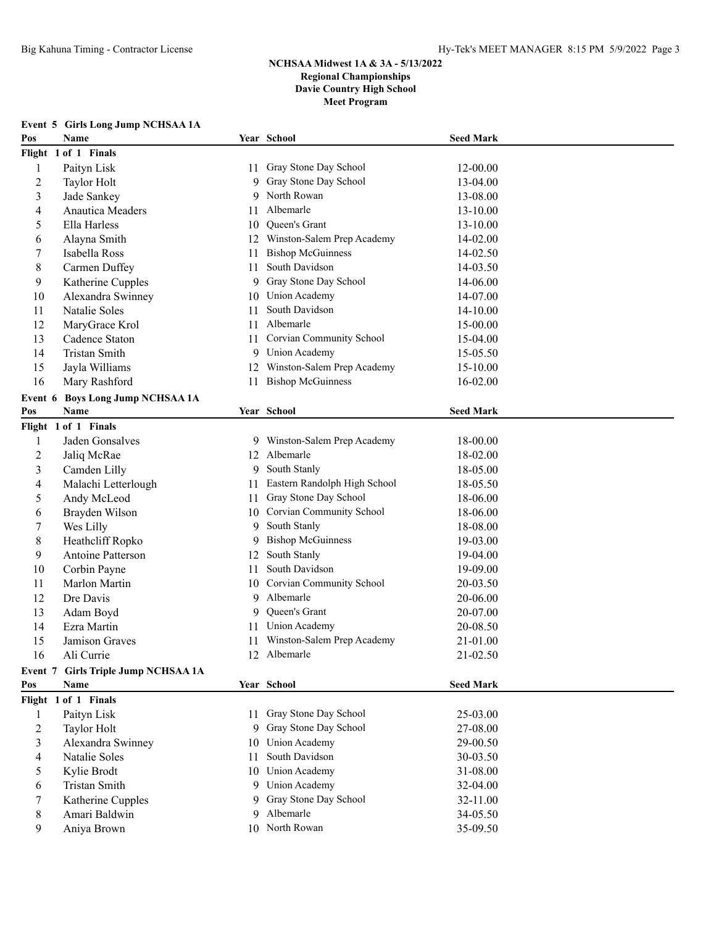|                | Event 5 Girls Long Jump NCHSAA 1A   |          |                                    |                      |  |
|----------------|-------------------------------------|----------|------------------------------------|----------------------|--|
| Pos            | Name                                |          | Year School                        | <b>Seed Mark</b>     |  |
|                | Flight 1 of 1 Finals                |          |                                    |                      |  |
| $\mathbf{1}$   | Paityn Lisk                         | 11       | Gray Stone Day School              | 12-00.00             |  |
| $\overline{c}$ | Taylor Holt                         | 9        | Gray Stone Day School              | 13-04.00             |  |
| 3              | Jade Sankey                         | 9        | North Rowan                        | 13-08.00             |  |
| 4              | <b>Anautica Meaders</b>             | 11       | Albemarle                          | 13-10.00             |  |
| 5              | Ella Harless                        | 10       | Queen's Grant                      | 13-10.00             |  |
| 6              | Alayna Smith                        | 12       | Winston-Salem Prep Academy         | 14-02.00             |  |
| 7              | Isabella Ross                       | 11       | <b>Bishop McGuinness</b>           | 14-02.50             |  |
| 8              | Carmen Duffey                       | 11       | South Davidson                     | 14-03.50             |  |
| 9              | Katherine Cupples                   | 9        | Gray Stone Day School              | 14-06.00             |  |
| 10             | Alexandra Swinney                   | 10       | Union Academy                      | 14-07.00             |  |
| 11             | Natalie Soles                       | 11.      | South Davidson                     | 14-10.00             |  |
| 12             | MaryGrace Krol                      | 11       | Albemarle                          | 15-00.00             |  |
| 13             | Cadence Staton                      | 11       | Corvian Community School           | 15-04.00             |  |
| 14             | Tristan Smith                       | 9        | <b>Union Academy</b>               | 15-05.50             |  |
| 15             | Jayla Williams                      | 12       | Winston-Salem Prep Academy         | 15-10.00             |  |
| 16             | Mary Rashford                       | 11       | <b>Bishop McGuinness</b>           | 16-02.00             |  |
| Event 6        | <b>Boys Long Jump NCHSAA 1A</b>     |          |                                    |                      |  |
| Pos            | Name                                |          | Year School                        | <b>Seed Mark</b>     |  |
|                | Flight 1 of 1 Finals                |          |                                    |                      |  |
| 1              | Jaden Gonsalves                     | 9.       | Winston-Salem Prep Academy         | 18-00.00             |  |
| 2              | Jaliq McRae                         | 12       | Albemarle                          | 18-02.00             |  |
| 3              | Camden Lilly                        | 9        | South Stanly                       | 18-05.00             |  |
| 4              | Malachi Letterlough                 | 11       | Eastern Randolph High School       | 18-05.50             |  |
| 5              | Andy McLeod                         | 11       | Gray Stone Day School              | 18-06.00             |  |
| 6              | Brayden Wilson                      | 10       | Corvian Community School           | 18-06.00             |  |
| 7              | Wes Lilly                           | 9        | South Stanly                       | 18-08.00             |  |
| 8              | Heathcliff Ropko                    | 9        | <b>Bishop McGuinness</b>           | 19-03.00             |  |
| 9              | Antoine Patterson                   | 12       | South Stanly                       | 19-04.00             |  |
| 10             | Corbin Payne                        | 11       | South Davidson                     | 19-09.00             |  |
| 11             | Marlon Martin                       | 10       | <b>Corvian Community School</b>    | 20-03.50             |  |
| 12             | Dre Davis                           | 9        | Albemarle                          | 20-06.00             |  |
| 13             | Adam Boyd                           | 9        | Queen's Grant                      | 20-07.00             |  |
| 14             | Ezra Martin                         | 11.      | <b>Union Academy</b>               | 20-08.50             |  |
| 15             | Jamison Graves                      |          | 11 Winston-Salem Prep Academy      | 21-01.00             |  |
| 16             | Ali Currie                          |          | 12 Albemarle                       | 21-02.50             |  |
|                | Event 7 Girls Triple Jump NCHSAA 1A |          |                                    |                      |  |
| Pos            | Name                                |          | Year School                        | <b>Seed Mark</b>     |  |
|                | Flight 1 of 1 Finals                |          |                                    |                      |  |
| 1              | Paityn Lisk                         | 11.      | Gray Stone Day School              | 25-03.00             |  |
| 2              | Taylor Holt                         | 9        | Gray Stone Day School              | 27-08.00             |  |
| 3              | Alexandra Swinney                   | 10       | Union Academy                      | 29-00.50             |  |
| 4              | Natalie Soles                       | 11       | South Davidson                     | 30-03.50             |  |
| 5              | Kylie Brodt                         |          | 10 Union Academy                   | 31-08.00             |  |
| 6              | Tristan Smith                       | 9.       | <b>Union Academy</b>               | 32-04.00             |  |
| 7              |                                     |          |                                    |                      |  |
|                |                                     |          |                                    |                      |  |
| 8              | Katherine Cupples<br>Amari Baldwin  | 9.<br>9. | Gray Stone Day School<br>Albemarle | 32-11.00<br>34-05.50 |  |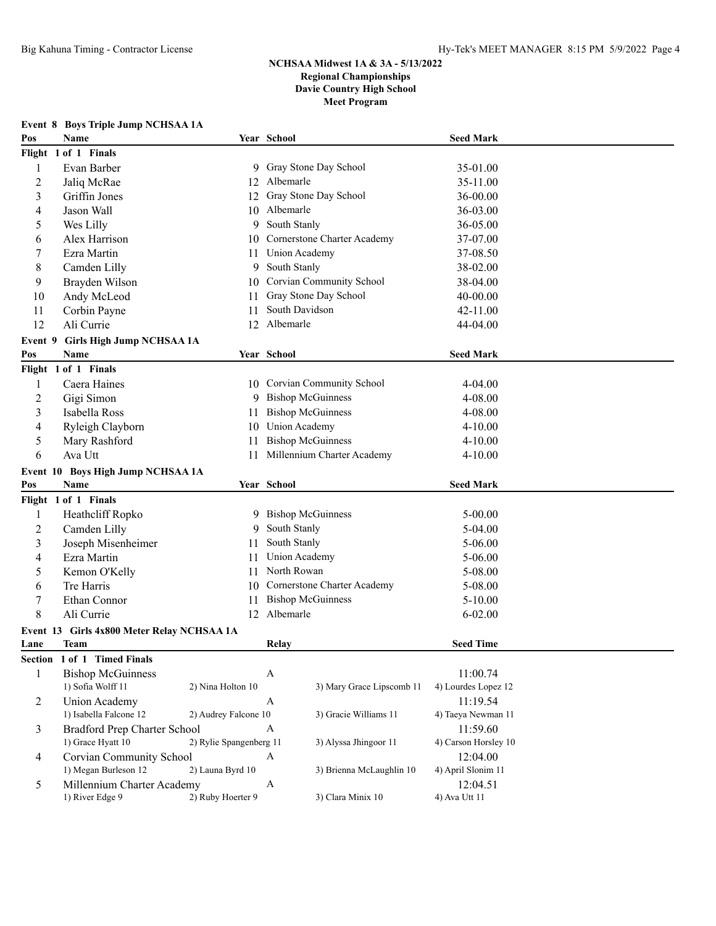|                | <b>Event 8 Boys Triple Jump NCHSAA 1A</b>          |                         |                                |                                |  |
|----------------|----------------------------------------------------|-------------------------|--------------------------------|--------------------------------|--|
| Pos            | Name                                               |                         | Year School                    | <b>Seed Mark</b>               |  |
|                | Flight 1 of 1 Finals                               |                         |                                |                                |  |
| 1              | Evan Barber                                        |                         | 9 Gray Stone Day School        | 35-01.00                       |  |
| $\overline{c}$ | Jaliq McRae                                        | 12                      | Albemarle                      | 35-11.00                       |  |
| 3              | Griffin Jones                                      | 12                      | Gray Stone Day School          | 36-00.00                       |  |
| 4              | Jason Wall                                         |                         | 10 Albemarle                   | 36-03.00                       |  |
| 5              | Wes Lilly                                          | 9                       | South Stanly                   | 36-05.00                       |  |
| 6              | Alex Harrison                                      |                         | 10 Cornerstone Charter Academy | 37-07.00                       |  |
| 7              | Ezra Martin                                        | 11                      | Union Academy                  | 37-08.50                       |  |
| 8              | Camden Lilly                                       | 9.                      | South Stanly                   | 38-02.00                       |  |
| 9              | Brayden Wilson                                     |                         | 10 Corvian Community School    | 38-04.00                       |  |
| 10             | Andy McLeod                                        | 11                      | Gray Stone Day School          | 40-00.00                       |  |
| 11             | Corbin Payne                                       | 11                      | South Davidson                 | 42-11.00                       |  |
| 12             | Ali Currie                                         |                         | 12 Albemarle                   | 44-04.00                       |  |
| Event 9        | <b>Girls High Jump NCHSAA 1A</b>                   |                         |                                |                                |  |
| Pos            | Name                                               |                         | Year School                    | <b>Seed Mark</b>               |  |
|                | Flight 1 of 1 Finals                               |                         |                                |                                |  |
| 1              | Caera Haines                                       |                         | 10 Corvian Community School    | 4-04.00                        |  |
| $\overline{c}$ | Gigi Simon                                         |                         | 9 Bishop McGuinness            | 4-08.00                        |  |
| 3              | Isabella Ross                                      | 11                      | <b>Bishop McGuinness</b>       | 4-08.00                        |  |
| 4              | Ryleigh Clayborn                                   |                         | 10 Union Academy               | $4 - 10.00$                    |  |
| 5              | Mary Rashford                                      | 11                      | <b>Bishop McGuinness</b>       | $4 - 10.00$                    |  |
| 6              | Ava Utt                                            | 11                      | Millennium Charter Academy     | $4 - 10.00$                    |  |
|                | Event 10 Boys High Jump NCHSAA 1A                  |                         |                                |                                |  |
| Pos            | Name                                               |                         | Year School                    | <b>Seed Mark</b>               |  |
|                | Flight 1 of 1 Finals                               |                         |                                |                                |  |
| 1              | Heathcliff Ropko                                   |                         | 9 Bishop McGuinness            | $5 - 00.00$                    |  |
| 2              | Camden Lilly                                       | 9                       | South Stanly                   | 5-04.00                        |  |
| 3              | Joseph Misenheimer                                 | 11                      | South Stanly                   | $5 - 06.00$                    |  |
| 4              | Ezra Martin                                        | 11                      | Union Academy                  | $5 - 06.00$                    |  |
| 5              | Kemon O'Kelly                                      | 11                      | North Rowan                    | 5-08.00                        |  |
| 6              | Tre Harris                                         | 10                      | Cornerstone Charter Academy    | 5-08.00                        |  |
| 7              | Ethan Connor                                       |                         | <b>Bishop McGuinness</b>       | $5 - 10.00$                    |  |
| $\,$ 8 $\,$    |                                                    |                         |                                |                                |  |
|                |                                                    | 11                      |                                |                                |  |
|                | Ali Currie                                         |                         | 12 Albemarle                   | $6 - 02.00$                    |  |
|                | Event 13 Girls 4x800 Meter Relay NCHSAA 1A         |                         |                                |                                |  |
| Lane           | Team                                               |                         | Relay                          | <b>Seed Time</b>               |  |
|                | Section 1 of 1 Timed Finals                        |                         |                                |                                |  |
| 1              | <b>Bishop McGuinness</b>                           |                         | A                              | 11:00.74                       |  |
|                | 1) Sofia Wolff 11                                  | 2) Nina Holton 10       | 3) Mary Grace Lipscomb 11      | 4) Lourdes Lopez 12            |  |
| 2              | Union Academy                                      |                         | A                              | 11:19.54                       |  |
|                | 1) Isabella Falcone 12                             | 2) Audrey Falcone 10    | 3) Gracie Williams 11          | 4) Taeya Newman 11             |  |
| 3              | <b>Bradford Prep Charter School</b>                |                         | A                              | 11:59.60                       |  |
|                | 1) Grace Hyatt 10                                  | 2) Rylie Spangenberg 11 | 3) Alyssa Jhingoor 11          | 4) Carson Horsley 10           |  |
| 4              | Corvian Community School                           |                         | A                              | 12:04.00                       |  |
| 5              | 1) Megan Burleson 12<br>Millennium Charter Academy | 2) Launa Byrd 10        | 3) Brienna McLaughlin 10<br>A  | 4) April Slonim 11<br>12:04.51 |  |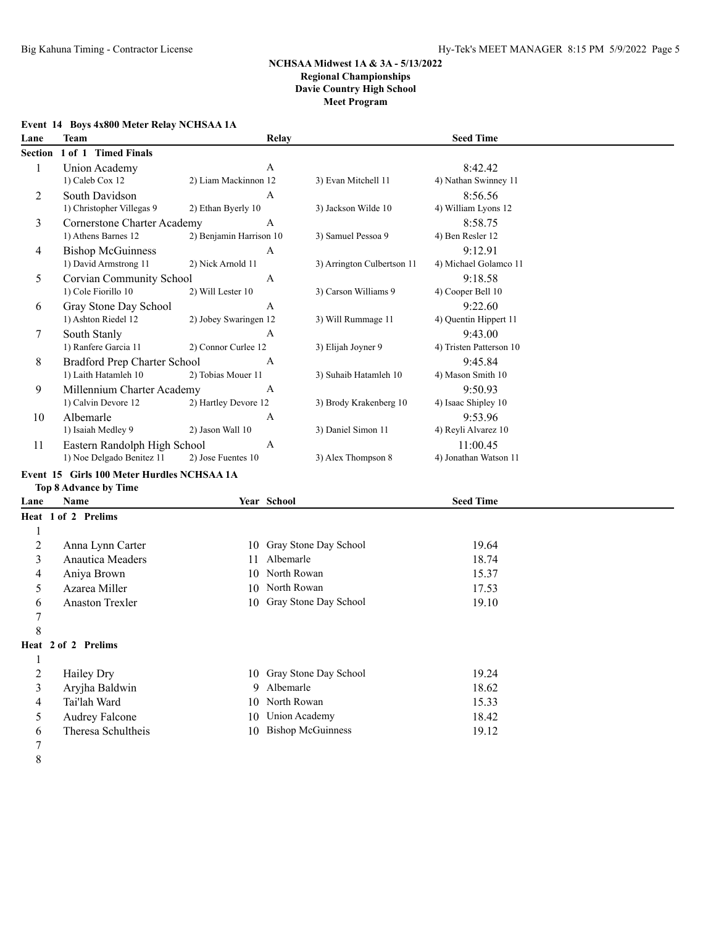|  | Event 14 Boys 4x800 Meter Relay NCHSAA 1A |  |  |
|--|-------------------------------------------|--|--|
|  |                                           |  |  |

| Lane                      | <b>Team</b>                                       |                         | Relay                      |                            | <b>Seed Time</b>                 |  |
|---------------------------|---------------------------------------------------|-------------------------|----------------------------|----------------------------|----------------------------------|--|
| <b>Section</b>            | 1 of 1 Timed Finals                               |                         |                            |                            |                                  |  |
| 1                         | Union Academy                                     |                         | A                          |                            | 8:42.42                          |  |
|                           | 1) Caleb Cox 12                                   | 2) Liam Mackinnon 12    |                            | 3) Evan Mitchell 11        | 4) Nathan Swinney 11             |  |
| 2                         | South Davidson                                    |                         | A                          |                            | 8:56.56                          |  |
|                           | 1) Christopher Villegas 9                         | 2) Ethan Byerly 10      |                            | 3) Jackson Wilde 10        | 4) William Lyons 12              |  |
| 3                         | <b>Cornerstone Charter Academy</b>                |                         | A                          |                            | 8:58.75                          |  |
|                           | 1) Athens Barnes 12                               | 2) Benjamin Harrison 10 |                            | 3) Samuel Pessoa 9         | 4) Ben Resler 12                 |  |
| 4                         | <b>Bishop McGuinness</b><br>1) David Armstrong 11 | 2) Nick Arnold 11       | A                          | 3) Arrington Culbertson 11 | 9:12.91<br>4) Michael Golamco 11 |  |
| 5                         | Corvian Community School                          |                         | A                          |                            | 9:18.58                          |  |
|                           | 1) Cole Fiorillo 10                               | 2) Will Lester 10       |                            | 3) Carson Williams 9       | 4) Cooper Bell 10                |  |
| 6                         | Gray Stone Day School                             |                         | $\mathbf{A}$               |                            | 9:22.60                          |  |
|                           | 1) Ashton Riedel 12                               | 2) Jobey Swaringen 12   |                            | 3) Will Rummage 11         | 4) Quentin Hippert 11            |  |
| 7                         | South Stanly                                      |                         | A                          |                            | 9:43.00                          |  |
|                           | 1) Ranfere Garcia 11                              | 2) Connor Curlee 12     |                            | 3) Elijah Joyner 9         | 4) Tristen Patterson 10          |  |
| 8                         | Bradford Prep Charter School                      |                         | A                          |                            | 9:45.84                          |  |
|                           | 1) Laith Hatamleh 10                              | 2) Tobias Mouer 11      |                            | 3) Suhaib Hatamleh 10      | 4) Mason Smith 10                |  |
| 9                         | Millennium Charter Academy                        |                         | A                          |                            | 9:50.93                          |  |
|                           | 1) Calvin Devore 12                               | 2) Hartley Devore 12    |                            | 3) Brody Krakenberg 10     | 4) Isaac Shipley 10              |  |
| 10                        | Albemarle                                         |                         | A                          |                            | 9:53.96                          |  |
|                           | 1) Isaiah Medley 9                                | 2) Jason Wall 10        |                            | 3) Daniel Simon 11         | 4) Reyli Alvarez 10              |  |
| 11                        | Eastern Randolph High School                      |                         | A                          |                            | 11:00.45                         |  |
|                           | 1) Noe Delgado Benitez 11                         | 2) Jose Fuentes 10      |                            | 3) Alex Thompson 8         | 4) Jonathan Watson 11            |  |
|                           | Event 15 Girls 100 Meter Hurdles NCHSAA 1A        |                         |                            |                            |                                  |  |
|                           | <b>Top 8 Advance by Time</b>                      |                         |                            |                            |                                  |  |
| Lane                      | Name                                              |                         | Year School                |                            | <b>Seed Time</b>                 |  |
|                           | Heat 1 of 2 Prelims                               |                         |                            |                            |                                  |  |
| 1                         |                                                   |                         |                            |                            |                                  |  |
| $\overline{c}$            | Anna Lynn Carter                                  |                         |                            | 10 Gray Stone Day School   | 19.64                            |  |
| $\overline{\mathbf{3}}$   | <b>Anautica Meaders</b>                           | 11                      | Albemarle                  |                            | 18.74                            |  |
| 4                         | Aniya Brown                                       | 10                      | North Rowan<br>North Rowan |                            | 15.37                            |  |
| 5                         | Azarea Miller                                     | 10                      |                            | 10 Gray Stone Day School   | 17.53                            |  |
| 6<br>7                    | <b>Anaston Trexler</b>                            |                         |                            |                            | 19.10                            |  |
| 8                         |                                                   |                         |                            |                            |                                  |  |
|                           | Heat 2 of 2 Prelims                               |                         |                            |                            |                                  |  |
|                           |                                                   |                         |                            |                            |                                  |  |
| $\perp$<br>$\overline{c}$ | Hailey Dry                                        |                         |                            | 10 Gray Stone Day School   | 19.24                            |  |
| $\overline{\mathbf{3}}$   | Aryjha Baldwin                                    | 9                       | Albemarle                  |                            | 18.62                            |  |
| 4                         | Tai'lah Ward                                      | 10                      | North Rowan                |                            | 15.33                            |  |
| 5                         | Audrey Falcone                                    | 10                      | <b>Union Academy</b>       |                            | 18.42                            |  |
| 6                         | Theresa Schultheis                                |                         | 10 Bishop McGuinness       |                            | 19.12                            |  |
| 7                         |                                                   |                         |                            |                            |                                  |  |

8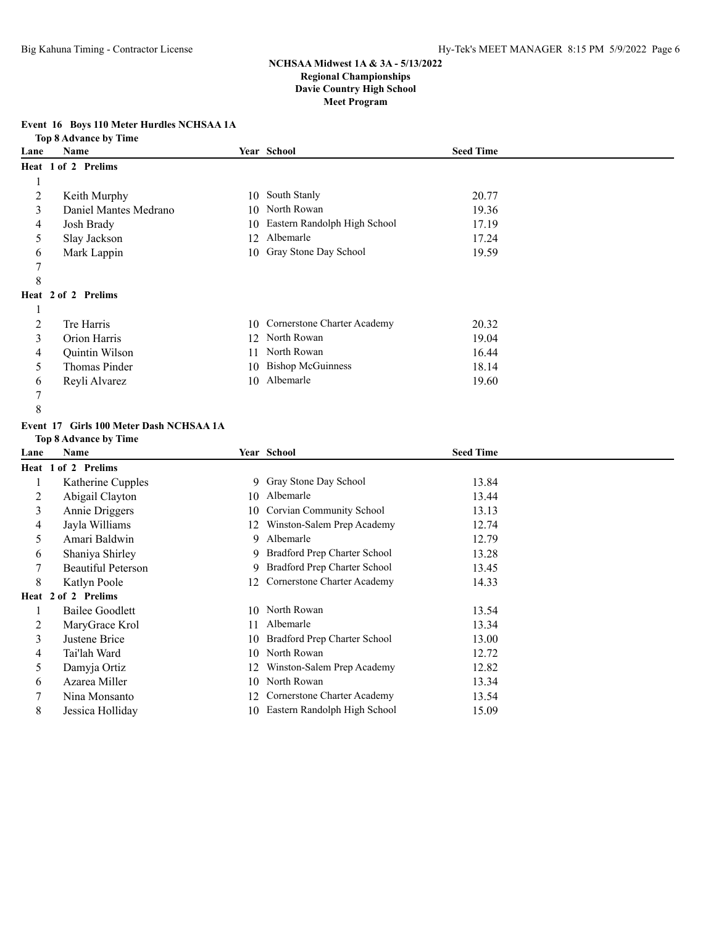### **Event 16 Boys 110 Meter Hurdles NCHSAA 1A**

**Top 8 Advance by Time**

| Lane | Name                  |    | Year School                  | <b>Seed Time</b> |  |
|------|-----------------------|----|------------------------------|------------------|--|
|      | Heat 1 of 2 Prelims   |    |                              |                  |  |
|      |                       |    |                              |                  |  |
| 2    | Keith Murphy          | 10 | South Stanly                 | 20.77            |  |
| 3    | Daniel Mantes Medrano |    | 10 North Rowan               | 19.36            |  |
| 4    | Josh Brady            | 10 | Eastern Randolph High School | 17.19            |  |
| 5    | Slay Jackson          |    | 12 Albemarle                 | 17.24            |  |
| 6    | Mark Lappin           | 10 | Gray Stone Day School        | 19.59            |  |
|      |                       |    |                              |                  |  |
| 8    |                       |    |                              |                  |  |
|      | Heat 2 of 2 Prelims   |    |                              |                  |  |
|      |                       |    |                              |                  |  |
| 2    | Tre Harris            | 10 | Cornerstone Charter Academy  | 20.32            |  |
| 3    | Orion Harris          | 12 | North Rowan                  | 19.04            |  |
| 4    | Quintin Wilson        | 11 | North Rowan                  | 16.44            |  |
| 5    | <b>Thomas Pinder</b>  | 10 | <b>Bishop McGuinness</b>     | 18.14            |  |
| 6    | Reyli Alvarez         | 10 | Albemarle                    | 19.60            |  |
| 7    |                       |    |                              |                  |  |

### **Event 17 Girls 100 Meter Dash NCHSAA 1A**

**Top 8 Advance by Time**

| Lane | Name                      |     | Year School                    | <b>Seed Time</b> |  |
|------|---------------------------|-----|--------------------------------|------------------|--|
|      | Heat 1 of 2 Prelims       |     |                                |                  |  |
|      | Katherine Cupples         |     | 9 Gray Stone Day School        | 13.84            |  |
| 2    | Abigail Clayton           | 10  | Albemarle                      | 13.44            |  |
| 3    | Annie Driggers            | 10  | Corvian Community School       | 13.13            |  |
| 4    | Jayla Williams            | 12. | Winston-Salem Prep Academy     | 12.74            |  |
| 5    | Amari Baldwin             | 9   | Albemarle                      | 12.79            |  |
| 6    | Shaniya Shirley           |     | 9 Bradford Prep Charter School | 13.28            |  |
| 7    | <b>Beautiful Peterson</b> | 9.  | Bradford Prep Charter School   | 13.45            |  |
| 8    | Katlyn Poole              | 12. | Cornerstone Charter Academy    | 14.33            |  |
|      | Heat 2 of 2 Prelims       |     |                                |                  |  |
|      | <b>Bailee Goodlett</b>    | 10. | North Rowan                    | 13.54            |  |
| 2    | MaryGrace Krol            | 11  | Albemarle                      | 13.34            |  |
| 3    | Justene Brice             | 10  | Bradford Prep Charter School   | 13.00            |  |
| 4    | Tai'lah Ward              | 10  | North Rowan                    | 12.72            |  |
| 5    | Damyja Ortiz              | 12  | Winston-Salem Prep Academy     | 12.82            |  |
| 6    | Azarea Miller             | 10  | North Rowan                    | 13.34            |  |
|      | Nina Monsanto             | 12. | Cornerstone Charter Academy    | 13.54            |  |
| 8    | Jessica Holliday          | 10  | Eastern Randolph High School   | 15.09            |  |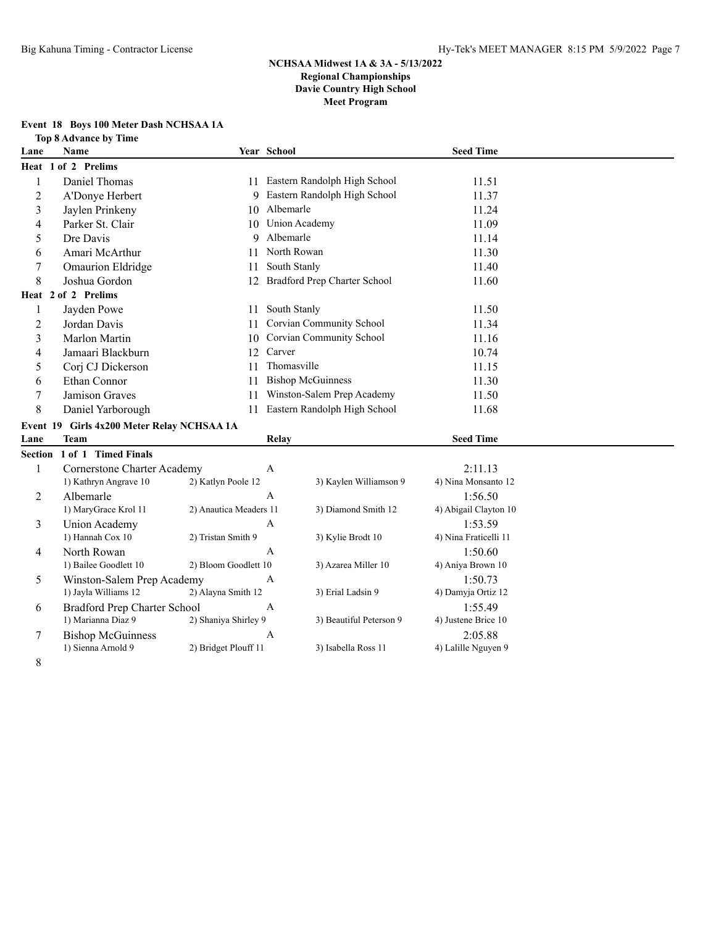# **Event 18 Boys 100 Meter Dash NCHSAA 1A**

**Top 8 Advance by Time**

| Lane                     | <b>Name</b>                                        |                        | Year School  |                                 | <b>Seed Time</b>               |  |
|--------------------------|----------------------------------------------------|------------------------|--------------|---------------------------------|--------------------------------|--|
|                          | Heat 1 of 2 Prelims                                |                        |              |                                 |                                |  |
| $\mathbf{1}$             | Daniel Thomas                                      |                        |              | 11 Eastern Randolph High School | 11.51                          |  |
| $\overline{c}$           | A'Donye Herbert                                    | 9                      |              | Eastern Randolph High School    | 11.37                          |  |
| 3                        | Jaylen Prinkeny                                    |                        | 10 Albemarle |                                 | 11.24                          |  |
| 4                        | Parker St. Clair                                   | 10                     |              | Union Academy                   | 11.09                          |  |
| 5                        | Dre Davis                                          | 9                      | Albemarle    |                                 | 11.14                          |  |
| 6                        | Amari McArthur                                     | 11                     | North Rowan  |                                 | 11.30                          |  |
| 7                        | <b>Omaurion Eldridge</b>                           | 11                     | South Stanly |                                 | 11.40                          |  |
| 8                        | Joshua Gordon                                      | 12                     |              | Bradford Prep Charter School    | 11.60                          |  |
|                          | Heat 2 of 2 Prelims                                |                        |              |                                 |                                |  |
| $\mathbf{1}$             | Jayden Powe                                        | 11                     | South Stanly |                                 | 11.50                          |  |
| $\overline{2}$           | Jordan Davis                                       | 11                     |              | Corvian Community School        | 11.34                          |  |
| $\overline{\mathbf{3}}$  | Marlon Martin                                      | 10                     |              | Corvian Community School        | 11.16                          |  |
| $\overline{\mathcal{L}}$ | Jamaari Blackburn                                  | 12                     | Carver       |                                 | 10.74                          |  |
| 5                        | Corj CJ Dickerson                                  | 11                     | Thomasville  |                                 | 11.15                          |  |
| 6                        | Ethan Connor                                       | 11                     |              | <b>Bishop McGuinness</b>        | 11.30                          |  |
| $\tau$                   | <b>Jamison Graves</b>                              | 11                     |              | Winston-Salem Prep Academy      | 11.50                          |  |
| $\,8\,$                  | Daniel Yarborough                                  | 11                     |              | Eastern Randolph High School    | 11.68                          |  |
|                          | Event 19 Girls 4x200 Meter Relay NCHSAA 1A         |                        |              |                                 |                                |  |
| Lane                     | <b>Team</b>                                        |                        | Relay        |                                 | <b>Seed Time</b>               |  |
|                          | Section 1 of 1 Timed Finals                        |                        |              |                                 |                                |  |
| $\mathbf{1}$             | <b>Cornerstone Charter Academy</b>                 |                        | $\mathbf{A}$ |                                 | 2:11.13                        |  |
|                          | 1) Kathryn Angrave 10                              | 2) Katlyn Poole 12     |              | 3) Kaylen Williamson 9          | 4) Nina Monsanto 12            |  |
| 2                        | Albemarle                                          |                        | $\mathbf{A}$ |                                 | 1:56.50                        |  |
|                          | 1) MaryGrace Krol 11                               | 2) Anautica Meaders 11 |              | 3) Diamond Smith 12             | 4) Abigail Clayton 10          |  |
| 3                        | Union Academy                                      |                        | A            |                                 | 1:53.59                        |  |
|                          | 1) Hannah Cox 10                                   | 2) Tristan Smith 9     |              | 3) Kylie Brodt 10               | 4) Nina Fraticelli 11          |  |
| 4                        | North Rowan                                        |                        | $\mathbf{A}$ |                                 | 1:50.60                        |  |
|                          | 1) Bailee Goodlett 10                              | 2) Bloom Goodlett 10   |              | 3) Azarea Miller 10             | 4) Aniya Brown 10              |  |
| 5                        | Winston-Salem Prep Academy                         |                        | A            |                                 | 1:50.73                        |  |
|                          | 1) Jayla Williams 12                               | 2) Alayna Smith 12     |              | 3) Erial Ladsin 9               | 4) Damyja Ortiz 12             |  |
| 6                        | Bradford Prep Charter School<br>1) Marianna Diaz 9 | 2) Shaniya Shirley 9   | $\mathbf{A}$ | 3) Beautiful Peterson 9         | 1:55.49<br>4) Justene Brice 10 |  |
| 7                        | <b>Bishop McGuinness</b>                           |                        | A            |                                 | 2:05.88                        |  |
|                          | 1) Sienna Arnold 9                                 | 2) Bridget Plouff 11   |              | 3) Isabella Ross 11             | 4) Lalille Nguyen 9            |  |
|                          |                                                    |                        |              |                                 |                                |  |

8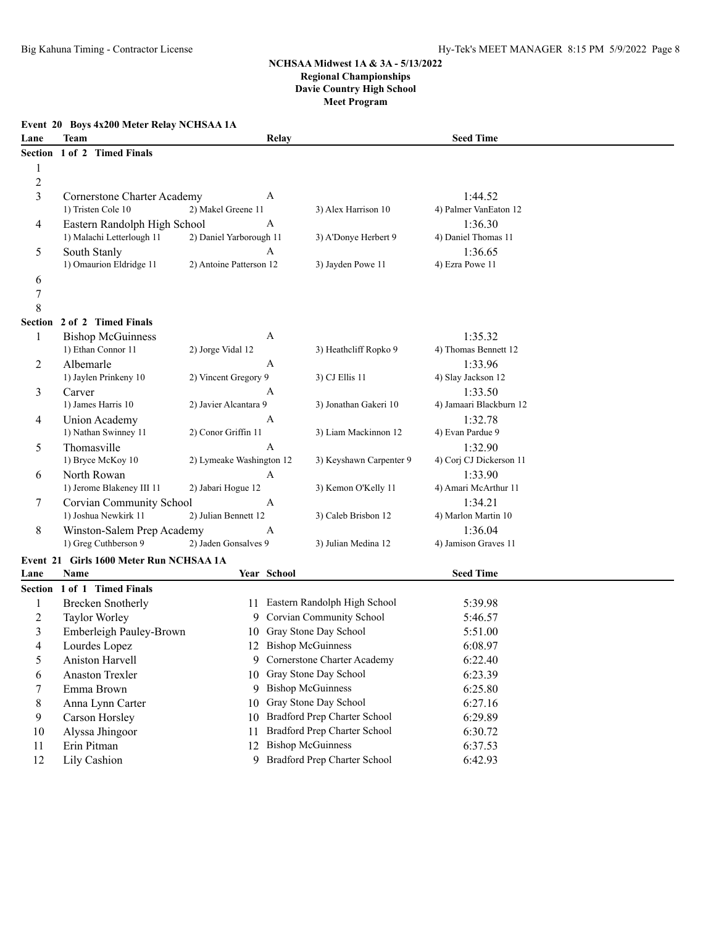## **Event 20 Boys 4x200 Meter Relay NCHSAA 1A Lane Team Relay Seed Time Section 1 of 2 Timed Finals** 1 2

| 3              | Cornerstone Charter Academy             |                          | A            |                         | 1:44.52                 |
|----------------|-----------------------------------------|--------------------------|--------------|-------------------------|-------------------------|
|                | 1) Tristen Cole 10                      | 2) Makel Greene 11       |              | 3) Alex Harrison 10     | 4) Palmer VanEaton 12   |
| $\overline{4}$ | Eastern Randolph High School            |                          | A            |                         | 1:36.30                 |
|                | 1) Malachi Letterlough 11               | 2) Daniel Yarborough 11  |              | 3) A'Donye Herbert 9    | 4) Daniel Thomas 11     |
| 5              | South Stanly                            |                          | A            |                         | 1:36.65                 |
|                | 1) Omaurion Eldridge 11                 | 2) Antoine Patterson 12  |              | 3) Jayden Powe 11       | 4) Ezra Powe 11         |
| 6              |                                         |                          |              |                         |                         |
| $\overline{7}$ |                                         |                          |              |                         |                         |
| 8              |                                         |                          |              |                         |                         |
| <b>Section</b> | 2 of 2 Timed Finals                     |                          |              |                         |                         |
| 1              | <b>Bishop McGuinness</b>                |                          | A            |                         | 1:35.32                 |
|                | 1) Ethan Connor 11                      | 2) Jorge Vidal 12        |              | 3) Heathcliff Ropko 9   | 4) Thomas Bennett 12    |
| 2              | Albemarle                               |                          | $\mathsf{A}$ |                         | 1:33.96                 |
|                | 1) Jaylen Prinkeny 10                   | 2) Vincent Gregory 9     |              | 3) CJ Ellis 11          | 4) Slay Jackson 12      |
| 3              | Carver                                  |                          | A            |                         | 1:33.50                 |
|                | 1) James Harris 10                      | 2) Javier Alcantara 9    |              | 3) Jonathan Gakeri 10   | 4) Jamaari Blackburn 12 |
| $\overline{4}$ | Union Academy                           |                          | $\mathsf{A}$ |                         | 1:32.78                 |
|                | 1) Nathan Swinney 11                    | 2) Conor Griffin 11      |              | 3) Liam Mackinnon 12    | 4) Evan Pardue 9        |
| 5              | Thomasville                             |                          | A            |                         | 1:32.90                 |
|                | 1) Bryce McKoy 10                       | 2) Lymeake Washington 12 |              | 3) Keyshawn Carpenter 9 | 4) Corj CJ Dickerson 11 |
| 6              | North Rowan                             |                          | $\mathsf{A}$ |                         | 1:33.90                 |
|                | 1) Jerome Blakeney III 11               | 2) Jabari Hogue 12       |              | 3) Kemon O'Kelly 11     | 4) Amari McArthur 11    |
| 7              | Corvian Community School                |                          | $\mathsf{A}$ |                         | 1:34.21                 |
|                | 1) Joshua Newkirk 11                    | 2) Julian Bennett 12     |              | 3) Caleb Brisbon 12     | 4) Marlon Martin 10     |
| 8              | Winston-Salem Prep Academy              |                          | A            |                         | 1:36.04                 |
|                | 1) Greg Cuthberson 9                    | 2) Jaden Gonsalves 9     |              | 3) Julian Medina 12     | 4) Jamison Graves 11    |
|                | Event 21 Girls 1600 Meter Run NCHSAA 1A |                          |              |                         |                         |

# **Event 21 Girls 1600 Meter Run NCHSAA 1A**

| Lane           | Name                    |     | Year School                    | <b>Seed Time</b> |  |
|----------------|-------------------------|-----|--------------------------------|------------------|--|
| Section 1 of 1 | <b>Timed Finals</b>     |     |                                |                  |  |
|                | Brecken Snotherly       | 11  | Eastern Randolph High School   | 5:39.98          |  |
|                | Taylor Worley           |     | 9 Corvian Community School     | 5:46.57          |  |
| 3              | Emberleigh Pauley-Brown | 10. | Gray Stone Day School          | 5:51.00          |  |
| 4              | Lourdes Lopez           |     | 12 Bishop McGuinness           | 6:08.97          |  |
|                | Aniston Harvell         |     | 9 Cornerstone Charter Academy  | 6:22.40          |  |
| 6              | Anaston Trexler         |     | 10 Gray Stone Day School       | 6:23.39          |  |
|                | Emma Brown              |     | 9 Bishop McGuinness            | 6:25.80          |  |
| 8              | Anna Lynn Carter        |     | 10 Gray Stone Day School       | 6:27.16          |  |
| 9              | Carson Horsley          | 10  | Bradford Prep Charter School   | 6:29.89          |  |
| 10             | Alyssa Jhingoor         | 11  | Bradford Prep Charter School   | 6:30.72          |  |
| 11             | Erin Pitman             | 12. | <b>Bishop McGuinness</b>       | 6:37.53          |  |
| 12             | Lily Cashion            |     | 9 Bradford Prep Charter School | 6:42.93          |  |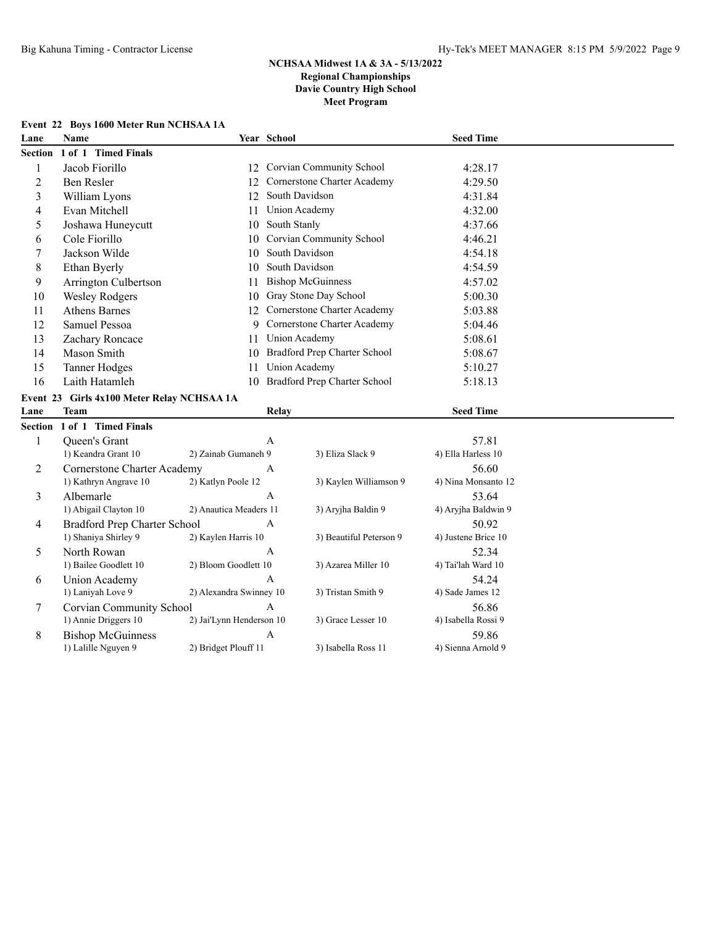# **Event 22 Boys 1600 Meter Run NCHSAA 1A**

| Lane           | <b>Name</b>                                |                          | Year School    |                                 | <b>Seed Time</b>    |  |
|----------------|--------------------------------------------|--------------------------|----------------|---------------------------------|---------------------|--|
| Section        | 1 of 1 Timed Finals                        |                          |                |                                 |                     |  |
| 1              | Jacob Fiorillo                             | 12                       |                | <b>Corvian Community School</b> | 4:28.17             |  |
| $\overline{c}$ | Ben Resler                                 | 12                       |                | Cornerstone Charter Academy     | 4:29.50             |  |
| 3              | William Lyons                              | 12                       |                | South Davidson                  | 4:31.84             |  |
| 4              | Evan Mitchell                              | 11                       |                | Union Academy                   | 4:32.00             |  |
| 5              | Joshawa Huneycutt                          | 10                       | South Stanly   |                                 | 4:37.66             |  |
| 6              | Cole Fiorillo                              | 10                       |                | Corvian Community School        | 4:46.21             |  |
| 7              | Jackson Wilde                              | 10                       |                | South Davidson                  | 4:54.18             |  |
| 8              | Ethan Byerly                               | 10                       |                | South Davidson                  | 4:54.59             |  |
| 9              | Arrington Culbertson                       | 11                       |                | <b>Bishop McGuinness</b>        | 4:57.02             |  |
| 10             | <b>Wesley Rodgers</b>                      | 10                       |                | Gray Stone Day School           | 5:00.30             |  |
| 11             | <b>Athens Barnes</b>                       | 12                       |                | Cornerstone Charter Academy     | 5:03.88             |  |
| 12             | Samuel Pessoa                              | 9                        |                | Cornerstone Charter Academy     | 5:04.46             |  |
| 13             | Zachary Roncace                            | 11                       |                | <b>Union Academy</b>            | 5:08.61             |  |
| 14             | Mason Smith                                | 10                       |                | Bradford Prep Charter School    | 5:08.67             |  |
| 15             | <b>Tanner Hodges</b>                       | 11                       |                | <b>Union Academy</b>            | 5:10.27             |  |
| 16             | Laith Hatamleh                             | 10                       |                | Bradford Prep Charter School    | 5:18.13             |  |
|                | Event 23 Girls 4x100 Meter Relay NCHSAA 1A |                          |                |                                 |                     |  |
| Lane           | <b>Team</b>                                |                          | Relay          |                                 | <b>Seed Time</b>    |  |
|                | Section 1 of 1 Timed Finals                |                          |                |                                 |                     |  |
| 1              | Queen's Grant                              |                          | $\overline{A}$ |                                 | 57.81               |  |
|                | 1) Keandra Grant 10                        | 2) Zainab Gumaneh 9      |                | 3) Eliza Slack 9                | 4) Ella Harless 10  |  |
| 2              | <b>Cornerstone Charter Academy</b>         |                          | $\mathbf{A}$   |                                 | 56.60               |  |
|                | 1) Kathryn Angrave 10                      | 2) Katlyn Poole 12       |                | 3) Kaylen Williamson 9          | 4) Nina Monsanto 12 |  |
| 3              | Albemarle                                  |                          | $\mathbf{A}$   |                                 | 53.64               |  |
|                | 1) Abigail Clayton 10                      | 2) Anautica Meaders 11   |                | 3) Aryjha Baldin 9              | 4) Aryjha Baldwin 9 |  |
| 4              | <b>Bradford Prep Charter School</b>        |                          | $\mathbf{A}$   |                                 | 50.92               |  |
|                | 1) Shaniya Shirley 9                       | 2) Kaylen Harris 10      |                | 3) Beautiful Peterson 9         | 4) Justene Brice 10 |  |
| 5              | North Rowan                                |                          | A              |                                 | 52.34               |  |
|                | 1) Bailee Goodlett 10                      | 2) Bloom Goodlett 10     |                | 3) Azarea Miller 10             | 4) Tai'lah Ward 10  |  |
| 6              | Union Academy                              |                          | $\overline{A}$ |                                 | 54.24               |  |
|                | 1) Laniyah Love 9                          | 2) Alexandra Swinney 10  |                | 3) Tristan Smith 9              | 4) Sade James 12    |  |
| 7              | Corvian Community School                   |                          | $\overline{A}$ |                                 | 56.86               |  |
|                | 1) Annie Driggers 10                       | 2) Jai'Lynn Henderson 10 |                | 3) Grace Lesser 10              | 4) Isabella Rossi 9 |  |
| 8              | <b>Bishop McGuinness</b>                   |                          | $\mathbf{A}$   |                                 | 59.86               |  |
|                | 1) Lalille Nguyen 9                        | 2) Bridget Plouff 11     |                | 3) Isabella Ross 11             | 4) Sienna Arnold 9  |  |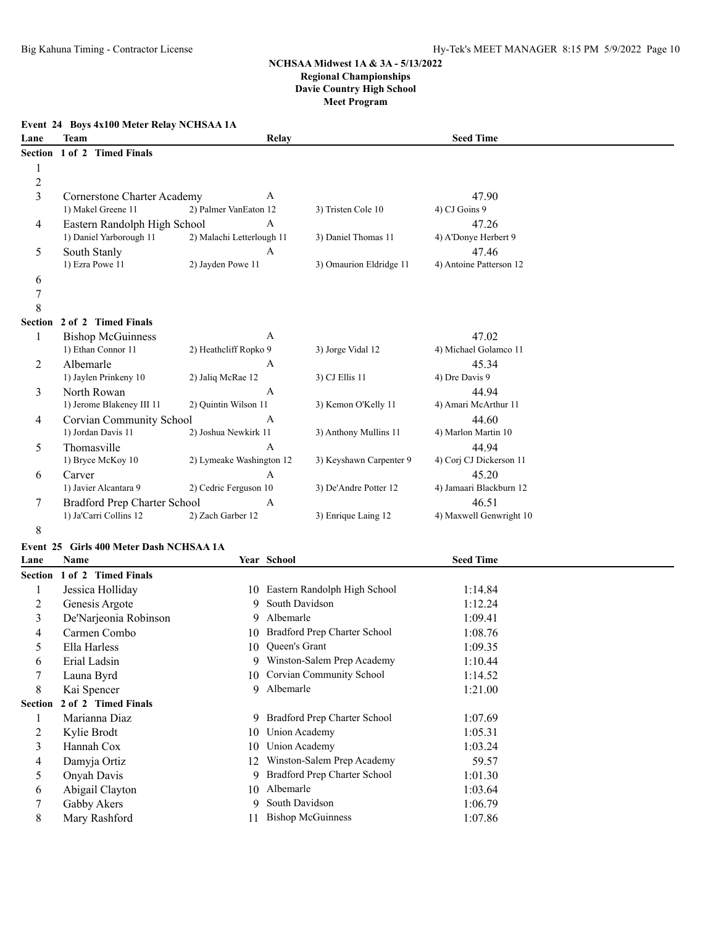### **Event 24 Boys 4x100 Meter Relay NCHSAA 1A**

| Lane           | <b>Team</b>                  | Relay                     |                         | <b>Seed Time</b>        |  |
|----------------|------------------------------|---------------------------|-------------------------|-------------------------|--|
| Section        | 1 of 2 Timed Finals          |                           |                         |                         |  |
| 1              |                              |                           |                         |                         |  |
| $\overline{c}$ |                              |                           |                         |                         |  |
| $\overline{3}$ | Cornerstone Charter Academy  | A                         |                         | 47.90                   |  |
|                | 1) Makel Greene 11           | 2) Palmer VanEaton 12     | 3) Tristen Cole 10      | 4) CJ Goins 9           |  |
| 4              | Eastern Randolph High School | A                         |                         | 47.26                   |  |
|                | 1) Daniel Yarborough 11      | 2) Malachi Letterlough 11 | 3) Daniel Thomas 11     | 4) A'Donye Herbert 9    |  |
| 5              | South Stanly                 | A                         |                         | 47.46                   |  |
|                | 1) Ezra Powe 11              | 2) Jayden Powe 11         | 3) Omaurion Eldridge 11 | 4) Antoine Patterson 12 |  |
| 6              |                              |                           |                         |                         |  |
| $\overline{7}$ |                              |                           |                         |                         |  |
| 8              |                              |                           |                         |                         |  |
| <b>Section</b> | 2 of 2 Timed Finals          |                           |                         |                         |  |
| 1              | <b>Bishop McGuinness</b>     | $\mathbf{A}$              |                         | 47.02                   |  |
|                | 1) Ethan Connor 11           | 2) Heathcliff Ropko 9     | 3) Jorge Vidal 12       | 4) Michael Golamco 11   |  |
| 2              | Albemarle                    | A                         |                         | 45.34                   |  |
|                | 1) Jaylen Prinkeny 10        | 2) Jaliq McRae 12         | 3) CJ Ellis 11          | 4) Dre Davis 9          |  |
| 3              | North Rowan                  | $\mathsf{A}$              |                         | 44.94                   |  |
|                | 1) Jerome Blakeney III 11    | 2) Quintin Wilson 11      | 3) Kemon O'Kelly 11     | 4) Amari McArthur 11    |  |
| 4              | Corvian Community School     | A                         |                         | 44.60                   |  |
|                | 1) Jordan Davis 11           | 2) Joshua Newkirk 11      | 3) Anthony Mullins 11   | 4) Marlon Martin 10     |  |
| 5              | Thomasville                  | A                         |                         | 44.94                   |  |
|                | 1) Bryce McKoy 10            | 2) Lymeake Washington 12  | 3) Keyshawn Carpenter 9 | 4) Corj CJ Dickerson 11 |  |
| 6              | Carver                       | $\mathbf{A}$              |                         | 45.20                   |  |
|                | 1) Javier Alcantara 9        | 2) Cedric Ferguson 10     | 3) De'Andre Potter 12   | 4) Jamaari Blackburn 12 |  |
| 7              | Bradford Prep Charter School | $\mathsf{A}$              |                         | 46.51                   |  |
|                | 1) Ja'Carri Collins 12       | 2) Zach Garber 12         | 3) Enrique Laing 12     | 4) Maxwell Genwright 10 |  |
| 8              |                              |                           |                         |                         |  |

# **Event 25 Girls 400 Meter Dash NCHSAA 1A**

| Lane    | <b>Name</b>                 |    | Year School                     | <b>Seed Time</b> |  |
|---------|-----------------------------|----|---------------------------------|------------------|--|
|         | Section 1 of 2 Timed Finals |    |                                 |                  |  |
|         | Jessica Holliday            |    | 10 Eastern Randolph High School | 1:14.84          |  |
| 2       | Genesis Argote              |    | 9 South Davidson                | 1:12.24          |  |
| 3       | De'Narjeonia Robinson       | 9. | Albemarle                       | 1:09.41          |  |
| 4       | Carmen Combo                | 10 | Bradford Prep Charter School    | 1:08.76          |  |
| 5       | Ella Harless                | 10 | <b>Oueen's Grant</b>            | 1:09.35          |  |
| 6       | Erial Ladsin                | 9. | Winston-Salem Prep Academy      | 1:10.44          |  |
| 7       | Launa Byrd                  | 10 | Corvian Community School        | 1:14.52          |  |
| 8       | Kai Spencer                 |    | 9 Albemarle                     | 1:21.00          |  |
| Section | 2 of 2 Timed Finals         |    |                                 |                  |  |
| -1      | Marianna Diaz               |    | 9 Bradford Prep Charter School  | 1:07.69          |  |
| 2       | Kylie Brodt                 | 10 | Union Academy                   | 1:05.31          |  |
| 3       | Hannah Cox                  | 10 | Union Academy                   | 1:03.24          |  |
| 4       | Damyja Ortiz                | 12 | Winston-Salem Prep Academy      | 59.57            |  |
| 5       | Onyah Davis                 | 9. | Bradford Prep Charter School    | 1:01.30          |  |
| 6       | Abigail Clayton             |    | 10 Albemarle                    | 1:03.64          |  |
|         | Gabby Akers                 | 9  | South Davidson                  | 1:06.79          |  |
| 8       | Mary Rashford               |    | <b>Bishop McGuinness</b>        | 1:07.86          |  |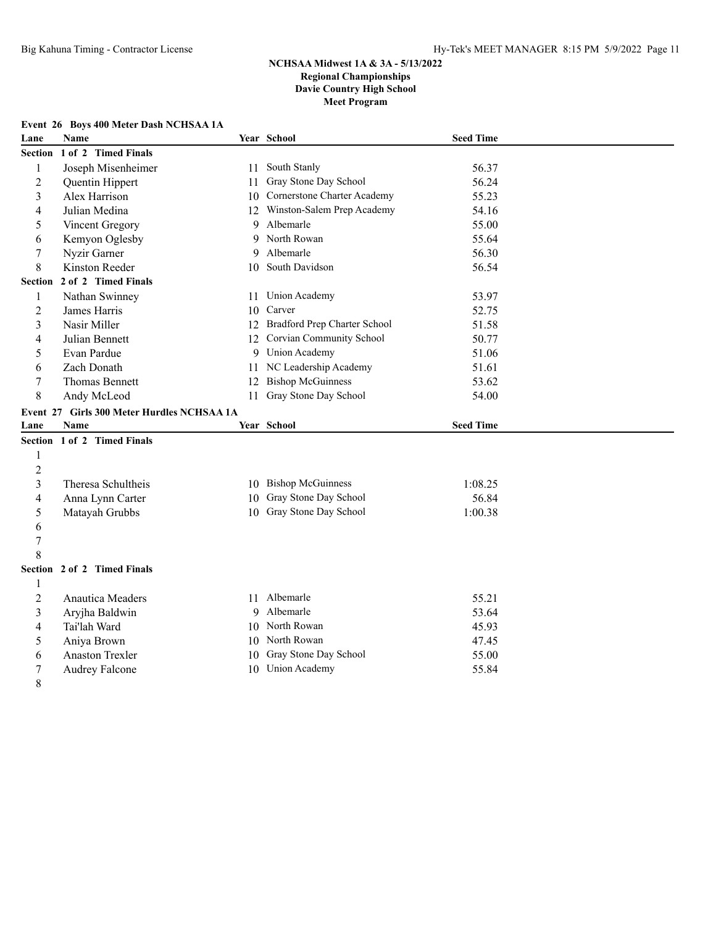# **Event 26 Boys 400 Meter Dash NCHSAA 1A**

| Lane           | Name                                       |    | Year School                    | <b>Seed Time</b> |  |
|----------------|--------------------------------------------|----|--------------------------------|------------------|--|
| <b>Section</b> | 1 of 2 Timed Finals                        |    |                                |                  |  |
| 1              | Joseph Misenheimer                         | 11 | South Stanly                   | 56.37            |  |
| $\overline{2}$ | Quentin Hippert                            | 11 | Gray Stone Day School          | 56.24            |  |
| 3              | Alex Harrison                              |    | 10 Cornerstone Charter Academy | 55.23            |  |
| 4              | Julian Medina                              | 12 | Winston-Salem Prep Academy     | 54.16            |  |
| 5              | Vincent Gregory                            | 9  | Albemarle                      | 55.00            |  |
| 6              | Kemyon Oglesby                             | 9  | North Rowan                    | 55.64            |  |
| 7              | Nyzir Garner                               | 9  | Albemarle                      | 56.30            |  |
| 8              | Kinston Reeder                             |    | 10 South Davidson              | 56.54            |  |
| Section        | 2 of 2 Timed Finals                        |    |                                |                  |  |
| $\mathbf{1}$   | Nathan Swinney                             | 11 | Union Academy                  | 53.97            |  |
| $\overline{2}$ | James Harris                               | 10 | Carver                         | 52.75            |  |
| 3              | Nasir Miller                               | 12 | Bradford Prep Charter School   | 51.58            |  |
| 4              | Julian Bennett                             |    | 12 Corvian Community School    | 50.77            |  |
| 5              | Evan Pardue                                |    | 9 Union Academy                | 51.06            |  |
| 6              | Zach Donath                                |    | 11 NC Leadership Academy       | 51.61            |  |
| 7              | Thomas Bennett                             | 12 | <b>Bishop McGuinness</b>       | 53.62            |  |
| 8              | Andy McLeod                                |    | 11 Gray Stone Day School       | 54.00            |  |
|                | Event 27 Girls 300 Meter Hurdles NCHSAA 1A |    |                                |                  |  |
|                |                                            |    |                                |                  |  |
| Lane           | Name                                       |    | Year School                    | <b>Seed Time</b> |  |
|                | Section 1 of 2 Timed Finals                |    |                                |                  |  |
| $\mathbf{1}$   |                                            |    |                                |                  |  |
| $\mathfrak 2$  |                                            |    |                                |                  |  |
| 3              | Theresa Schultheis                         |    | 10 Bishop McGuinness           | 1:08.25          |  |
| 4              | Anna Lynn Carter                           |    | 10 Gray Stone Day School       | 56.84            |  |
| 5              | Matayah Grubbs                             |    | 10 Gray Stone Day School       | 1:00.38          |  |
| 6              |                                            |    |                                |                  |  |
| 7              |                                            |    |                                |                  |  |
| 8              |                                            |    |                                |                  |  |
|                | Section 2 of 2 Timed Finals                |    |                                |                  |  |
| 1              |                                            |    |                                |                  |  |
| $\overline{c}$ | <b>Anautica Meaders</b>                    |    | 11 Albemarle                   | 55.21            |  |
| 3              | Aryjha Baldwin                             | 9  | Albemarle                      | 53.64            |  |
| 4              | Tai'lah Ward                               |    | 10 North Rowan                 | 45.93            |  |
| 5              | Aniya Brown                                |    | 10 North Rowan                 | 47.45            |  |
| 6              | <b>Anaston Trexler</b>                     | 10 | Gray Stone Day School          | 55.00            |  |
| 7              | Audrey Falcone                             |    | 10 Union Academy               | 55.84            |  |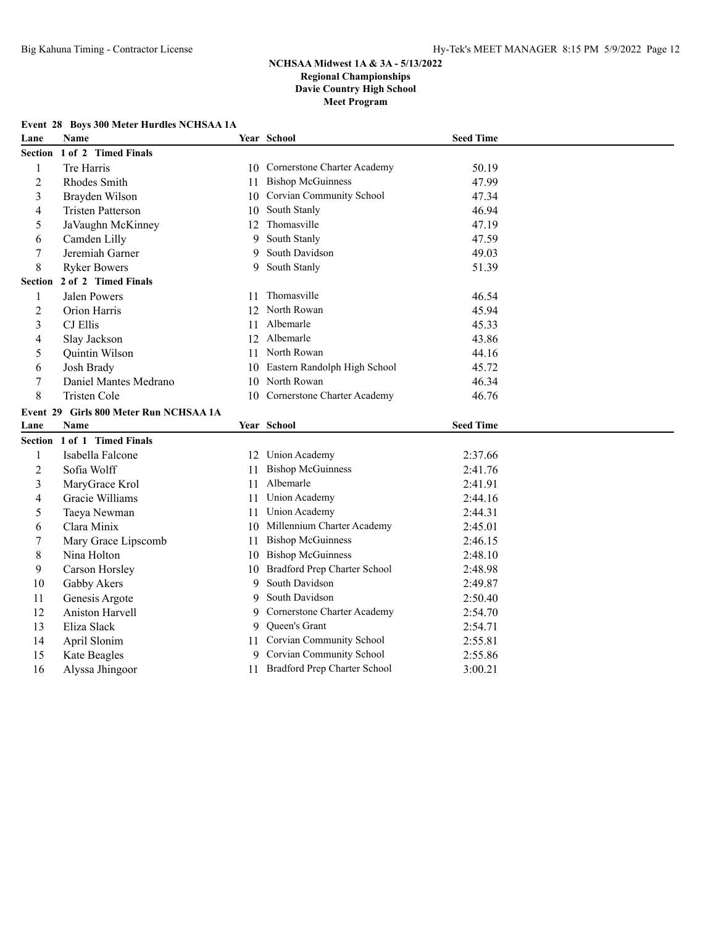# **Event 28 Boys 300 Meter Hurdles NCHSAA 1A**

| Lane           | <b>Name</b>                            |    | Year School                     | <b>Seed Time</b> |  |
|----------------|----------------------------------------|----|---------------------------------|------------------|--|
| Section        | 1 of 2 Timed Finals                    |    |                                 |                  |  |
| 1              | Tre Harris                             | 10 | Cornerstone Charter Academy     | 50.19            |  |
| $\overline{2}$ | Rhodes Smith                           | 11 | <b>Bishop McGuinness</b>        | 47.99            |  |
| 3              | Brayden Wilson                         | 10 | Corvian Community School        | 47.34            |  |
| 4              | <b>Tristen Patterson</b>               | 10 | South Stanly                    | 46.94            |  |
| 5              | JaVaughn McKinney                      | 12 | Thomasville                     | 47.19            |  |
| 6              | Camden Lilly                           | 9  | South Stanly                    | 47.59            |  |
| 7              | Jeremiah Garner                        | 9  | South Davidson                  | 49.03            |  |
| 8              | <b>Ryker Bowers</b>                    | 9  | South Stanly                    | 51.39            |  |
| Section        | 2 of 2 Timed Finals                    |    |                                 |                  |  |
| 1              | <b>Jalen Powers</b>                    | 11 | Thomasville                     | 46.54            |  |
| $\overline{2}$ | Orion Harris                           |    | 12 North Rowan                  | 45.94            |  |
| 3              | CJ Ellis                               | 11 | Albemarle                       | 45.33            |  |
| $\overline{4}$ | Slay Jackson                           |    | 12 Albemarle                    | 43.86            |  |
| 5              | Quintin Wilson                         | 11 | North Rowan                     | 44.16            |  |
| 6              | Josh Brady                             | 10 | Eastern Randolph High School    | 45.72            |  |
| $\tau$         | Daniel Mantes Medrano                  | 10 | North Rowan                     | 46.34            |  |
| $\,8\,$        | <b>Tristen Cole</b>                    | 10 | Cornerstone Charter Academy     | 46.76            |  |
|                | Event 29 Girls 800 Meter Run NCHSAA 1A |    |                                 |                  |  |
| Lane           | <b>Name</b>                            |    | Year School                     | <b>Seed Time</b> |  |
|                | Section 1 of 1 Timed Finals            |    |                                 |                  |  |
| 1              | Isabella Falcone                       |    | 12 Union Academy                | 2:37.66          |  |
| $\mathfrak 2$  | Sofia Wolff                            | 11 | <b>Bishop McGuinness</b>        | 2:41.76          |  |
| 3              | MaryGrace Krol                         | 11 | Albemarle                       | 2:41.91          |  |
| $\overline{4}$ | Gracie Williams                        | 11 | Union Academy                   | 2:44.16          |  |
| 5              | Taeya Newman                           | 11 | Union Academy                   | 2:44.31          |  |
| 6              | Clara Minix                            | 10 | Millennium Charter Academy      | 2:45.01          |  |
| $\overline{7}$ | Mary Grace Lipscomb                    | 11 | <b>Bishop McGuinness</b>        | 2:46.15          |  |
| $\,8\,$        | Nina Holton                            | 10 | <b>Bishop McGuinness</b>        | 2:48.10          |  |
| 9              | Carson Horsley                         | 10 | Bradford Prep Charter School    | 2:48.98          |  |
| $10\,$         | Gabby Akers                            | 9  | South Davidson                  | 2:49.87          |  |
| 11             | Genesis Argote                         | 9  | South Davidson                  | 2:50.40          |  |
| 12             |                                        |    |                                 |                  |  |
|                | Aniston Harvell                        | 9  | Cornerstone Charter Academy     | 2:54.70          |  |
| 13             | Eliza Slack                            | 9  | Queen's Grant                   | 2:54.71          |  |
| 14             | April Slonim                           | 11 | <b>Corvian Community School</b> | 2:55.81          |  |
| 15             | Kate Beagles                           | 9. | <b>Corvian Community School</b> | 2:55.86          |  |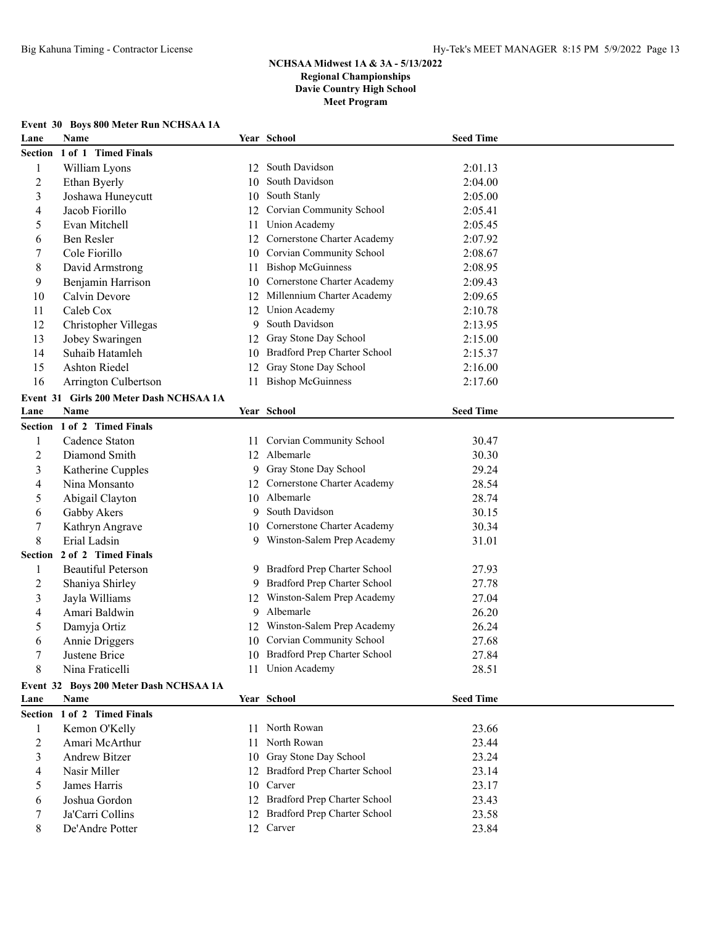|  |  |  | Event 30 Boys 800 Meter Run NCHSAA 1A |  |
|--|--|--|---------------------------------------|--|
|  |  |  |                                       |  |

| Lane                     | Name                                    |    | Year School                                               | <b>Seed Time</b> |  |
|--------------------------|-----------------------------------------|----|-----------------------------------------------------------|------------------|--|
| <b>Section</b>           | 1 of 1 Timed Finals                     |    |                                                           |                  |  |
| $\mathbf{1}$             | William Lyons                           | 12 | South Davidson                                            | 2:01.13          |  |
| $\overline{c}$           | Ethan Byerly                            | 10 | South Davidson                                            | 2:04.00          |  |
| 3                        | Joshawa Huneycutt                       | 10 | South Stanly                                              | 2:05.00          |  |
| $\overline{\mathcal{A}}$ | Jacob Fiorillo                          | 12 | Corvian Community School                                  | 2:05.41          |  |
| 5                        | Evan Mitchell                           | 11 | <b>Union Academy</b>                                      | 2:05.45          |  |
| 6                        | Ben Resler                              | 12 | Cornerstone Charter Academy                               | 2:07.92          |  |
| 7                        | Cole Fiorillo                           | 10 | Corvian Community School                                  | 2:08.67          |  |
| $\,8\,$                  | David Armstrong                         | 11 | <b>Bishop McGuinness</b>                                  | 2:08.95          |  |
| 9                        | Benjamin Harrison                       | 10 | Cornerstone Charter Academy                               | 2:09.43          |  |
| 10                       | Calvin Devore                           | 12 | Millennium Charter Academy                                | 2:09.65          |  |
| 11                       | Caleb Cox                               | 12 | <b>Union Academy</b>                                      | 2:10.78          |  |
| 12                       | Christopher Villegas                    | 9  | South Davidson                                            | 2:13.95          |  |
| 13                       | Jobey Swaringen                         | 12 | Gray Stone Day School                                     | 2:15.00          |  |
| 14                       | Suhaib Hatamleh                         | 10 | Bradford Prep Charter School                              | 2:15.37          |  |
| 15                       | <b>Ashton Riedel</b>                    | 12 | Gray Stone Day School                                     | 2:16.00          |  |
| 16                       | Arrington Culbertson                    | 11 | <b>Bishop McGuinness</b>                                  | 2:17.60          |  |
|                          | Event 31 Girls 200 Meter Dash NCHSAA 1A |    |                                                           |                  |  |
| Lane                     | Name                                    |    | Year School                                               | <b>Seed Time</b> |  |
|                          | Section 1 of 2 Timed Finals             |    |                                                           |                  |  |
| $\mathbf{1}$             | Cadence Staton                          | 11 | Corvian Community School                                  | 30.47            |  |
| $\overline{c}$           | Diamond Smith                           |    | 12 Albemarle                                              | 30.30            |  |
| 3                        | Katherine Cupples                       |    | 9 Gray Stone Day School                                   | 29.24            |  |
| 4                        | Nina Monsanto                           |    | 12 Cornerstone Charter Academy                            | 28.54            |  |
| 5                        | Abigail Clayton                         |    | 10 Albemarle                                              | 28.74            |  |
| 6                        | Gabby Akers                             | 9  | South Davidson                                            | 30.15            |  |
| $\tau$                   | Kathryn Angrave                         |    | 10 Cornerstone Charter Academy                            | 30.34            |  |
| 8                        | Erial Ladsin                            |    | 9 Winston-Salem Prep Academy                              | 31.01            |  |
| Section                  | 2 of 2 Timed Finals                     |    |                                                           |                  |  |
|                          |                                         |    | 9 Bradford Prep Charter School                            |                  |  |
| $\mathbf{1}$             | <b>Beautiful Peterson</b>               |    | Bradford Prep Charter School                              | 27.93<br>27.78   |  |
| $\overline{c}$           | Shaniya Shirley                         | 9  | Winston-Salem Prep Academy                                |                  |  |
| 3                        | Jayla Williams<br>Amari Baldwin         | 12 | Albemarle                                                 | 27.04            |  |
| 4                        |                                         | 9  |                                                           | 26.20            |  |
| 5                        | Damyja Ortiz                            | 12 | Winston-Salem Prep Academy<br>10 Corvian Community School | 26.24            |  |
| 6                        | Annie Driggers                          |    |                                                           | 27.68            |  |
|                          | Justene Brice                           |    | 10 Bradford Prep Charter School                           | 27.84            |  |
| $\,8\,$                  | Nina Fraticelli                         |    | 11 Union Academy                                          | 28.51            |  |
|                          | Event 32 Boys 200 Meter Dash NCHSAA 1A  |    |                                                           |                  |  |
| Lane                     | Name                                    |    | Year School                                               | <b>Seed Time</b> |  |
| <b>Section</b>           | 1 of 2 Timed Finals                     |    |                                                           |                  |  |
| $\mathbf{1}$             | Kemon O'Kelly                           |    | 11 North Rowan                                            | 23.66            |  |
| $\overline{c}$           | Amari McArthur                          | 11 | North Rowan                                               | 23.44            |  |
| $\mathfrak{Z}$           | <b>Andrew Bitzer</b>                    | 10 | Gray Stone Day School                                     | 23.24            |  |
| 4                        | Nasir Miller                            | 12 | Bradford Prep Charter School                              | 23.14            |  |
| 5                        | James Harris                            | 10 | Carver                                                    | 23.17            |  |
| 6                        | Joshua Gordon                           | 12 | Bradford Prep Charter School                              | 23.43            |  |
| 7                        | Ja'Carri Collins                        |    | 12 Bradford Prep Charter School                           | 23.58            |  |
| 8                        | De'Andre Potter                         |    | 12 Carver                                                 | 23.84            |  |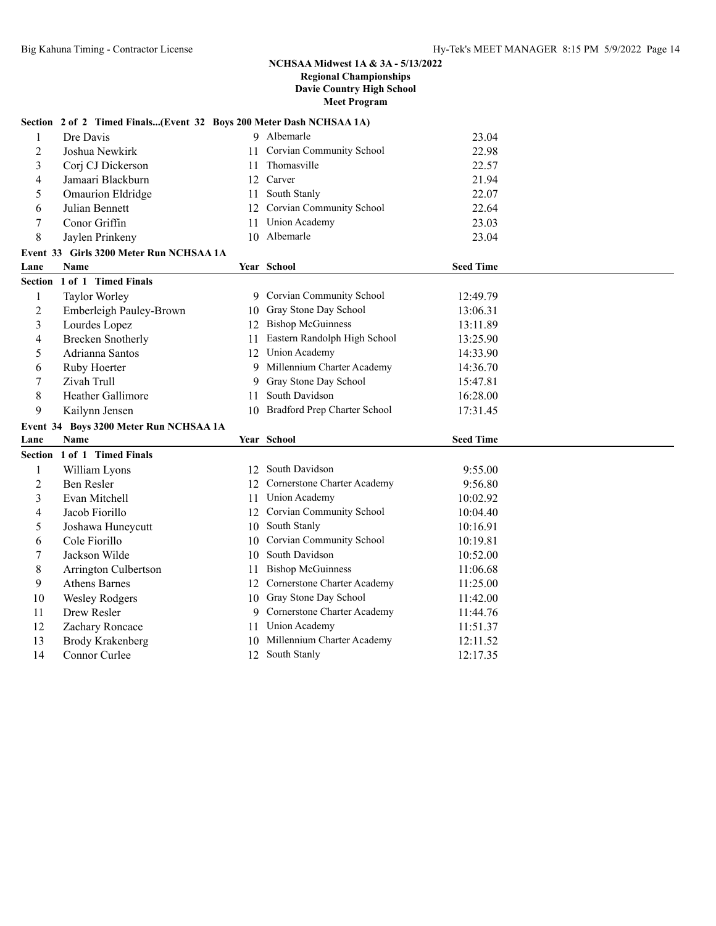## **Section 2 of 2 Timed Finals...(Event 32 Boys 200 Meter Dash NCHSAA 1A)**

| 1              | Dre Davis                               |    | 9 Albemarle                     | 23.04            |
|----------------|-----------------------------------------|----|---------------------------------|------------------|
| $\overline{2}$ | Joshua Newkirk                          |    | 11 Corvian Community School     | 22.98            |
| 3              | Corj CJ Dickerson                       | 11 | Thomasville                     | 22.57            |
| 4              | Jamaari Blackburn                       |    | 12 Carver                       | 21.94            |
| 5              | Omaurion Eldridge                       | 11 | South Stanly                    | 22.07            |
| 6              | Julian Bennett                          | 12 | Corvian Community School        | 22.64            |
| 7              | Conor Griffin                           | 11 | Union Academy                   | 23.03            |
| 8              | Jaylen Prinkeny                         |    | 10 Albemarle                    | 23.04            |
|                | Event 33 Girls 3200 Meter Run NCHSAA 1A |    |                                 |                  |
| Lane           | <b>Name</b>                             |    | Year School                     | <b>Seed Time</b> |
| <b>Section</b> | 1 of 1 Timed Finals                     |    |                                 |                  |
| 1              | Taylor Worley                           |    | 9 Corvian Community School      | 12:49.79         |
| $\overline{2}$ | Emberleigh Pauley-Brown                 |    | 10 Gray Stone Day School        | 13:06.31         |
| 3              | Lourdes Lopez                           | 12 | <b>Bishop McGuinness</b>        | 13:11.89         |
| 4              | <b>Brecken Snotherly</b>                | 11 | Eastern Randolph High School    | 13:25.90         |
| 5              | Adrianna Santos                         | 12 | Union Academy                   | 14:33.90         |
| 6              | Ruby Hoerter                            | 9  | Millennium Charter Academy      | 14:36.70         |
| 7              | Zivah Trull                             | 9  | Gray Stone Day School           | 15:47.81         |
| 8              | <b>Heather Gallimore</b>                | 11 | South Davidson                  | 16:28.00         |
| 9              | Kailynn Jensen                          |    | 10 Bradford Prep Charter School | 17:31.45         |
|                | Event 34 Boys 3200 Meter Run NCHSAA 1A  |    |                                 |                  |
| Lane           | <b>Name</b>                             |    | Year School                     | <b>Seed Time</b> |
|                | Section 1 of 1 Timed Finals             |    |                                 |                  |
| $\mathbf{1}$   | William Lyons                           | 12 | South Davidson                  | 9:55.00          |
| $\overline{2}$ | Ben Resler                              | 12 | Cornerstone Charter Academy     | 9:56.80          |
| 3              | Evan Mitchell                           | 11 | Union Academy                   | 10:02.92         |
| 4              | Jacob Fiorillo                          |    | 12 Corvian Community School     | 10:04.40         |
| 5              | Joshawa Huneycutt                       | 10 | South Stanly                    | 10:16.91         |
| 6              | Cole Fiorillo                           | 10 | Corvian Community School        | 10:19.81         |
| $\tau$         | Jackson Wilde                           | 10 | South Davidson                  | 10:52.00         |
| 8              | Arrington Culbertson                    | 11 | <b>Bishop McGuinness</b>        | 11:06.68         |
| 9              | <b>Athens Barnes</b>                    |    | 12 Cornerstone Charter Academy  | 11:25.00         |
| 10             | <b>Wesley Rodgers</b>                   |    | 10 Gray Stone Day School        | 11:42.00         |
| 11             | Drew Resler                             |    | 9 Cornerstone Charter Academy   | 11:44.76         |
| 12             | Zachary Roncace                         | 11 | <b>Union Academy</b>            | 11:51.37         |
| 13             | <b>Brody Krakenberg</b>                 |    | 10 Millennium Charter Academy   | 12:11.52         |
| 14             | Connor Curlee                           |    | 12 South Stanly                 | 12:17.35         |